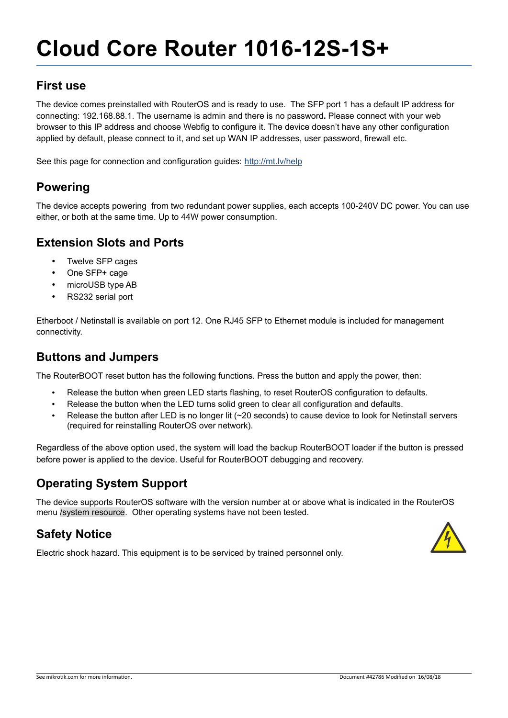# **Cloud Core Router 1016-12S-1S+**

#### **First use**

The device comes preinstalled with RouterOS and is ready to use. The SFP port 1 has a default IP address for connecting: 192.168.88.1. The username is admin and there is no password**.** Please connect with your web browser to this IP address and choose Webfig to configure it. The device doesn't have any other configuration applied by default, please connect to it, and set up WAN IP addresses, user password, firewall etc.

See this page for connection and configuration guides: http://mt.lv/help

## **Powering**

The device accepts powering from two redundant power supplies, each accepts 100-240V DC power. You can use either, or both at the same time. Up to 44W power consumption.

## **Extension Slots and Ports**

- Twelve SFP cages
- One SFP+ cage
- microUSB type AB
- RS232 serial port

Etherboot / Netinstall is available on port 12. One RJ45 SFP to Ethernet module is included for management connectivity.

#### **Buttons and Jumpers**

The RouterBOOT reset button has the following functions. Press the button and apply the power, then:

- Release the button when green LED starts flashing, to reset RouterOS configuration to defaults.
- Release the button when the LED turns solid green to clear all configuration and defaults.
- Release the button after LED is no longer lit (~20 seconds) to cause device to look for Netinstall servers (required for reinstalling RouterOS over network).

Regardless of the above option used, the system will load the backup RouterBOOT loader if the button is pressed before power is applied to the device. Useful for RouterBOOT debugging and recovery.

## **Operating System Support**

The device supports RouterOS software with the version number at or above what is indicated in the RouterOS menu /system resource. Other operating systems have not been tested.

## **Safety Notice**

Electric shock hazard. This equipment is to be serviced by trained personnel only.